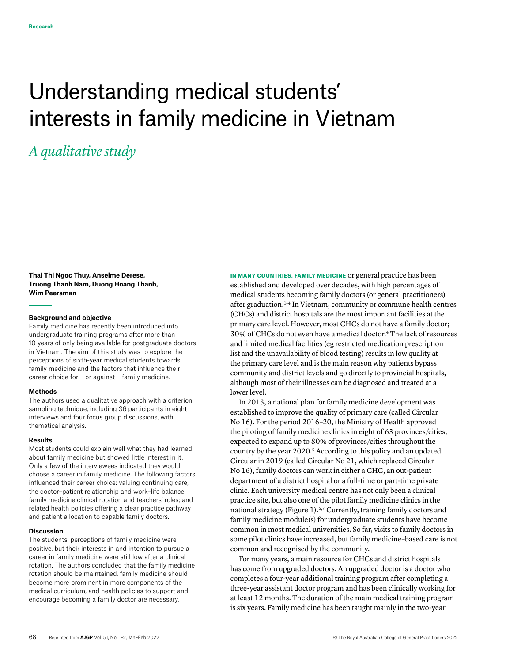# Understanding medical students' interests in family medicine in Vietnam

# *A qualitative study*

**Thai Thi Ngoc Thuy, Anselme Derese, Truong Thanh Nam, Duong Hoang Thanh, Wim Peersman** 

#### **Background and objective**

Family medicine has recently been introduced into undergraduate training programs after more than 10 years of only being available for postgraduate doctors in Vietnam. The aim of this study was to explore the perceptions of sixth-year medical students towards family medicine and the factors that influence their career choice for – or against – family medicine.

#### **Methods**

The authors used a qualitative approach with a criterion sampling technique, including 36 participants in eight interviews and four focus group discussions, with thematical analysis.

#### **Results**

Most students could explain well what they had learned about family medicine but showed little interest in it. Only a few of the interviewees indicated they would choose a career in family medicine. The following factors influenced their career choice: valuing continuing care, the doctor–patient relationship and work–life balance; family medicine clinical rotation and teachers' roles; and related health policies offering a clear practice pathway and patient allocation to capable family doctors.

#### **Discussion**

The students' perceptions of family medicine were positive, but their interests in and intention to pursue a career in family medicine were still low after a clinical rotation. The authors concluded that the family medicine rotation should be maintained, family medicine should become more prominent in more components of the medical curriculum, and health policies to support and encourage becoming a family doctor are necessary.

IN MANY COUNTRIES, FAMILY MEDICINE or general practice has been established and developed over decades, with high percentages of medical students becoming family doctors (or general practitioners) after graduation.1–4 In Vietnam, community or commune health centres (CHCs) and district hospitals are the most important facilities at the primary care level. However, most CHCs do not have a family doctor; 30% of CHCs do not even have a medical doctor.4 The lack of resources and limited medical facilities (eg restricted medication prescription list and the unavailability of blood testing) results in low quality at the primary care level and is the main reason why patients bypass community and district levels and go directly to provincial hospitals, although most of their illnesses can be diagnosed and treated at a lower level.

In 2013, a national plan for family medicine development was established to improve the quality of primary care (called Circular No 16). For the period 2016–20, the Ministry of Health approved the piloting of family medicine clinics in eight of 63 provinces/cities, expected to expand up to 80% of provinces/cities throughout the country by the year 2020.5 According to this policy and an updated Circular in 2019 (called Circular No 21, which replaced Circular No 16), family doctors can work in either a CHC, an out-patient department of a district hospital or a full-time or part-time private clinic. Each university medical centre has not only been a clinical practice site, but also one of the pilot family medicine clinics in the national strategy (Figure 1).<sup>6,7</sup> Currently, training family doctors and family medicine module(s) for undergraduate students have become common in most medical universities. So far, visits to family doctors in some pilot clinics have increased, but family medicine–based care is not common and recognised by the community.

For many years, a main resource for CHCs and district hospitals has come from upgraded doctors. An upgraded doctor is a doctor who completes a four-year additional training program after completing a three-year assistant doctor program and has been clinically working for at least 12 months. The duration of the main medical training program is six years. Family medicine has been taught mainly in the two-year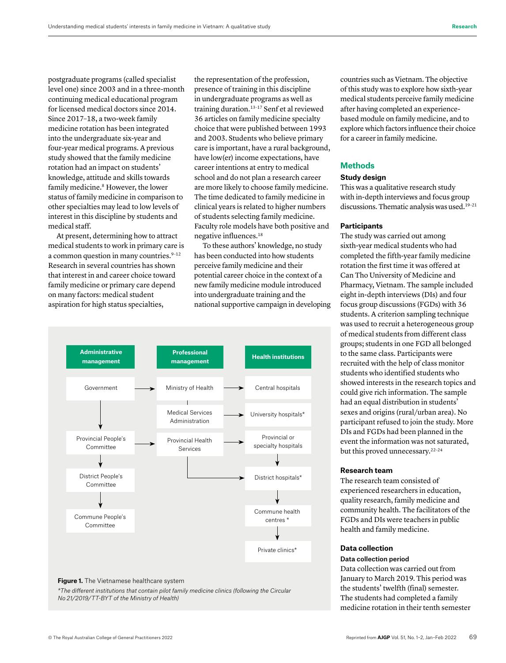postgraduate programs (called specialist level one) since 2003 and in a three-month continuing medical educational program for licensed medical doctors since 2014. Since 2017–18, a two-week family medicine rotation has been integrated into the undergraduate six-year and four-year medical programs. A previous study showed that the family medicine rotation had an impact on students' knowledge, attitude and skills towards family medicine.<sup>8</sup> However, the lower status of family medicine in comparison to other specialties may lead to low levels of interest in this discipline by students and medical staff.

At present, determining how to attract medical students to work in primary care is a common question in many countries.<sup>9-12</sup> Research in several countries has shown that interest in and career choice toward family medicine or primary care depend on many factors: medical student aspiration for high status specialties,

the representation of the profession, presence of training in this discipline in undergraduate programs as well as training duration.13–17 Senf et al reviewed 36 articles on family medicine specialty choice that were published between 1993 and 2003. Students who believe primary care is important, have a rural background, have low(er) income expectations, have career intentions at entry to medical school and do not plan a research career are more likely to choose family medicine. The time dedicated to family medicine in clinical years is related to higher numbers of students selecting family medicine. Faculty role models have both positive and negative influences.18

To these authors' knowledge, no study has been conducted into how students perceive family medicine and their potential career choice in the context of a new family medicine module introduced into undergraduate training and the national supportive campaign in developing



#### **Figure 1.** The Vietnamese healthcare system

*\*The different institutions that contain pilot family medicine clinics (following the Circular No 21/2019/TT-BYT of the Ministry of Health)*

countries such as Vietnam. The objective of this study was to explore how sixth-year medical students perceive family medicine after having completed an experiencebased module on family medicine, and to explore which factors influence their choice for a career in family medicine.

#### **Methods**

#### **Study design**

This was a qualitative research study with in-depth interviews and focus group discussions. Thematic analysis was used.<sup>19-21</sup>

#### **Participants**

The study was carried out among sixth-year medical students who had completed the fifth-year family medicine rotation the first time it was offered at Can Tho University of Medicine and Pharmacy, Vietnam. The sample included eight in-depth interviews (DIs) and four focus group discussions (FGDs) with 36 students. A criterion sampling technique was used to recruit a heterogeneous group of medical students from different class groups; students in one FGD all belonged to the same class. Participants were recruited with the help of class monitor students who identified students who showed interests in the research topics and could give rich information. The sample had an equal distribution in students' sexes and origins (rural/urban area). No participant refused to join the study. More DIs and FGDs had been planned in the event the information was not saturated, but this proved unnecessary.<sup>22-24</sup>

#### **Research team**

The research team consisted of experienced researchers in education, quality research, family medicine and community health. The facilitators of the FGDs and DIs were teachers in public health and family medicine.

#### **Data collection**

#### Data collection period

Data collection was carried out from January to March 2019. This period was the students' twelfth (final) semester. The students had completed a family medicine rotation in their tenth semester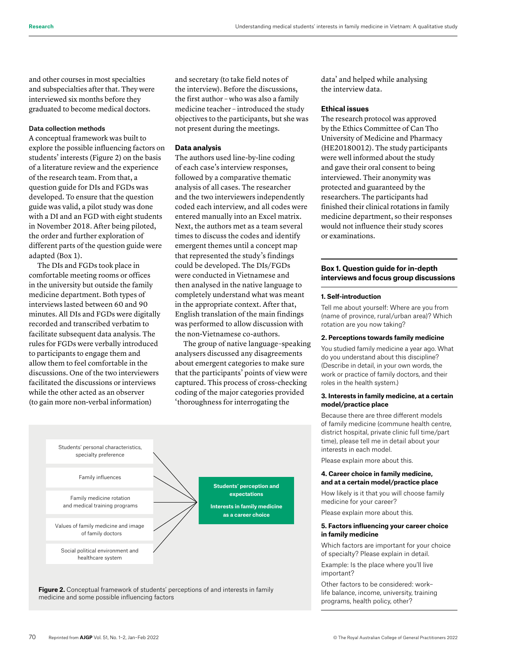and other courses in most specialties and subspecialties after that. They were interviewed six months before they graduated to become medical doctors.

#### Data collection methods

A conceptual framework was built to explore the possible influencing factors on students' interests (Figure 2) on the basis of a literature review and the experience of the research team. From that, a question guide for DIs and FGDs was developed. To ensure that the question **Administrative** guide was valid, a pilot study was done **management** with a DI and an FGD with eight students in November 2018. After being piloted, the order and further exploration of different parts of the question guide were adapted (Box 1).

The DIs and FGDs took place in comfortable meeting rooms or offices in the university but outside the family medicine department. Both types of interviews lasted between 60 and 90 minutes. All DIs and FGDs were digitally recorded and transcribed verbatim to facilitate subsequent data analysis. The rules for FGDs were verbally introduced to participants to engage them and allow them to feel comfortable in the discussions. One of the two interviewers facilitated the discussions or interviews while the other acted as an observer (to gain more non-verbal information)

and secretary (to take field notes of the interview). Before the discussions, the first author – who was also a family medicine teacher – introduced the study objectives to the participants, but she was not present during the meetings.

#### **Data analysis**

The authors used line-by-line coding of each case's interview responses, followed by a comparative thematic analysis of all cases. The researcher and the two interviewers independently coded each interview, and all codes were **Professional management Health institutions** entered manually into an Excel matrix. Next, the authors met as a team several times to discuss the codes and identify emergent themes until a concept map that represented the study's findings could be developed. The DIs/FGDs were conducted in Vietnamese and then analysed in the native language to completely understand what was meant in the appropriate context. After that, English translation of the main findings was performed to allow discussion with the non-Vietnamese co-authors.

The group of native language–speaking analysers discussed any disagreements about emergent categories to make sure that the participants' points of view were captured. This process of cross-checking coding of the major categories provided 'thoroughness for interrogating the



**Figure 2.** Conceptual framework of students' perceptions of and interests in family medicine and some possible influencing factors

data' and helped while analysing the interview data.

#### **Ethical issues**

The research protocol was approved by the Ethics Committee of Can Tho University of Medicine and Pharmacy (HE20180012). The study participants were well informed about the study and gave their oral consent to being interviewed. Their anonymity was protected and guaranteed by the researchers. The participants had finished their clinical rotations in family medicine department, so their responses would not influence their study scores or examinations.

#### **Box 1. Question guide for in-depth interviews and focus group discussions**

#### **1. Self-introduction**

Tell me about yourself: Where are you from (name of province, rural/urban area)? Which rotation are you now taking?

#### **2. Perceptions towards family medicine**

You studied family medicine a year ago. What do you understand about this discipline? (Describe in detail, in your own words, the work or practice of family doctors, and their roles in the health system.)

#### **3. Interests in family medicine, at a certain model/practice place**

Because there are three different models of family medicine (commune health centre, district hospital, private clinic full time/part time), please tell me in detail about your interests in each model.

Please explain more about this.

#### **4. Career choice in family medicine, and at a certain model/practice place**

How likely is it that you will choose family medicine for your career?

Please explain more about this.

#### **5. Factors influencing your career choice in family medicine**

Which factors are important for your choice of specialty? Please explain in detail.

Example: Is the place where you'll live important?

Other factors to be considered: work– life balance, income, university, training programs, health policy, other?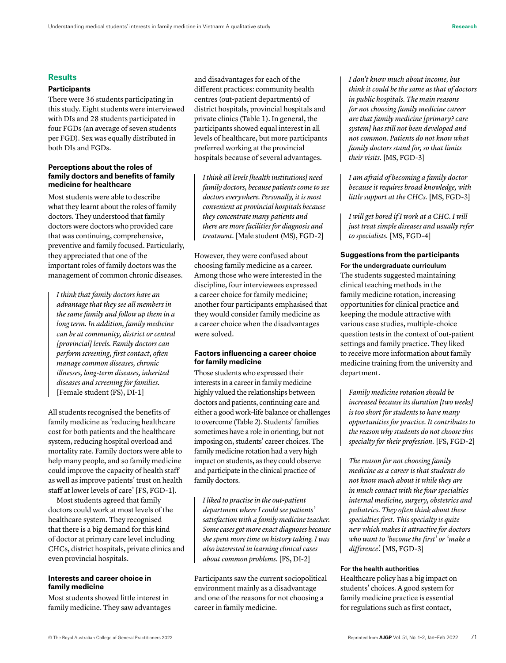#### **Results**

#### **Participants**

There were 36 students participating in this study. Eight students were interviewed with DIs and 28 students participated in four FGDs (an average of seven students per FGD). Sex was equally distributed in both DIs and FGDs.

#### **Perceptions about the roles of family doctors and benefits of family medicine for healthcare**

Most students were able to describe what they learnt about the roles of family doctors. They understood that family doctors were doctors who provided care that was continuing, comprehensive, preventive and family focused. Particularly, they appreciated that one of the important roles of family doctors was the management of common chronic diseases.

*I think that family doctors have an advantage that they see all members in the same family and follow up them in a long term. In addition, family medicine can be at community, district or central [provincial] levels. Family doctors can perform screening, first contact, often manage common diseases, chronic illnesses, long-term diseases, inherited diseases and screening for families.*  [Female student (FS), DI-1]

All students recognised the benefits of family medicine as *'*reducing healthcare cost for both patients and the healthcare system, reducing hospital overload and mortality rate. Family doctors were able to help many people, and so family medicine could improve the capacity of health staff as well as improve patients' trust on health staff at lower levels of care' [FS, FGD-1].

Most students agreed that family doctors could work at most levels of the healthcare system. They recognised that there is a big demand for this kind of doctor at primary care level including CHCs, district hospitals, private clinics and even provincial hospitals.

#### **Interests and career choice in family medicine**

Most students showed little interest in family medicine. They saw advantages and disadvantages for each of the different practices: community health centres (out-patient departments) of district hospitals, provincial hospitals and private clinics (Table 1). In general, the participants showed equal interest in all levels of healthcare, but more participants preferred working at the provincial hospitals because of several advantages.

*I think all levels [health institutions] need family doctors, because patients come to see doctors everywhere. Personally, it is most convenient at provincial hospitals because they concentrate many patients and there are more facilities for diagnosis and treatment.* [Male student (MS), FGD-2]

However, they were confused about choosing family medicine as a career. Among those who were interested in the discipline, four interviewees expressed a career choice for family medicine; another four participants emphasised that they would consider family medicine as a career choice when the disadvantages were solved.

#### **Factors influencing a career choice for family medicine**

Those students who expressed their interests in a career in family medicine highly valued the relationships between doctors and patients, continuing care and either a good work–life balance or challenges to overcome (Table 2). Students' families sometimes have a role in orienting, but not imposing on, students' career choices. The family medicine rotation had a very high impact on students, as they could observe and participate in the clinical practice of family doctors.

*I liked to practise in the out-patient department where I could see patients' satisfaction with a family medicine teacher. Some cases got more exact diagnoses because she spent more time on history taking. I was also interested in learning clinical cases about common problems.* [FS, DI-2]

Participants saw the current sociopolitical environment mainly as a disadvantage and one of the reasons for not choosing a career in family medicine.

*I don't know much about income, but think it could be the same as that of doctors in public hospitals. The main reasons for not choosing family medicine career are that family medicine [primary? care system] has still not been developed and not common. Patients do not know what family doctors stand for, so that limits their visits.* [MS, FGD-3]

*I am afraid of becoming a family doctor because it requires broad knowledge, with little support at the CHCs.* [MS, FGD-3]

*I will get bored if I work at a CHC. I will just treat simple diseases and usually refer to specialists.* [MS, FGD-4]

## **Suggestions from the participants**

For the undergraduate curriculum The students suggested maintaining clinical teaching methods in the family medicine rotation, increasing opportunities for clinical practice and keeping the module attractive with various case studies, multiple-choice question tests in the context of out-patient settings and family practice. They liked to receive more information about family medicine training from the university and department.

*Family medicine rotation should be increased because its duration [two weeks] is too short for students to have many opportunities for practice. It contributes to the reason why students do not choose this specialty for their profession.* [FS, FGD-2]

*The reason for not choosing family medicine as a career is that students do not know much about it while they are in much contact with the four specialties internal medicine, surgery, obstetrics and pediatrics. They often think about these specialties first. This specialty is quite new which makes it attractive for doctors who want to 'become the first' or 'make a difference'.* [MS, FGD-3]

#### For the health authorities

Healthcare policy has a big impact on students' choices. A good system for family medicine practice is essential for regulations such as first contact,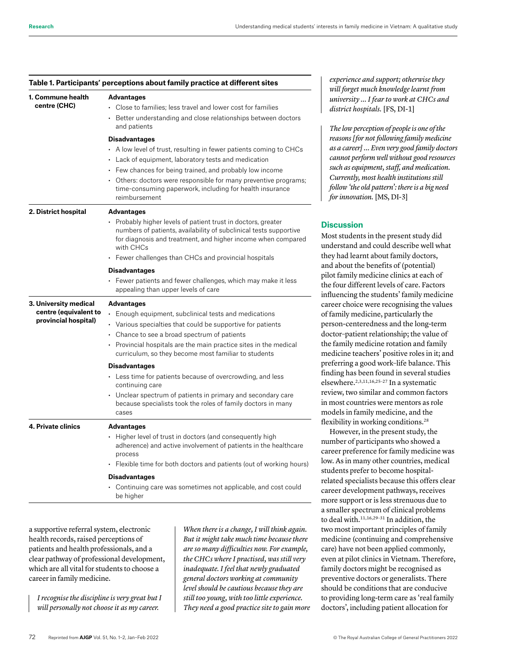| 1. Commune health<br>centre (CHC)                                      | Advantages<br>$\cdot$ Close to families; less travel and lower cost for families<br>• Better understanding and close relationships between doctors<br>and patients                                              |
|------------------------------------------------------------------------|-----------------------------------------------------------------------------------------------------------------------------------------------------------------------------------------------------------------|
|                                                                        | Disadvantages<br>$\cdot$ A low level of trust, resulting in fewer patients coming to CHCs                                                                                                                       |
|                                                                        | • Lack of equipment, laboratory tests and medication<br>• Few chances for being trained, and probably low income                                                                                                |
|                                                                        | • Others: doctors were responsible for many preventive programs;<br>time-consuming paperwork, including for health insurance<br>reimbursement                                                                   |
| 2. District hospital                                                   | <b>Advantages</b>                                                                                                                                                                                               |
|                                                                        | • Probably higher levels of patient trust in doctors, greater<br>numbers of patients, availability of subclinical tests supportive<br>for diagnosis and treatment, and higher income when compared<br>with CHCs |
|                                                                        | Fewer challenges than CHCs and provincial hospitals                                                                                                                                                             |
|                                                                        | Disadvantages                                                                                                                                                                                                   |
|                                                                        | • Fewer patients and fewer challenges, which may make it less<br>appealing than upper levels of care                                                                                                            |
| 3. University medical<br>centre (equivalent to<br>provincial hospital) | <b>Advantages</b>                                                                                                                                                                                               |
|                                                                        | • Enough equipment, subclinical tests and medications                                                                                                                                                           |
|                                                                        | • Various specialties that could be supportive for patients                                                                                                                                                     |
|                                                                        | • Chance to see a broad spectrum of patients                                                                                                                                                                    |
|                                                                        | • Provincial hospitals are the main practice sites in the medical<br>curriculum, so they become most familiar to students                                                                                       |
|                                                                        | <b>Disadvantages</b>                                                                                                                                                                                            |
|                                                                        | • Less time for patients because of overcrowding, and less<br>continuing care                                                                                                                                   |
|                                                                        | • Unclear spectrum of patients in primary and secondary care<br>because specialists took the roles of family doctors in many<br>cases                                                                           |
| 4. Private clinics                                                     | <b>Advantages</b>                                                                                                                                                                                               |
|                                                                        | • Higher level of trust in doctors (and consequently high<br>adherence) and active involvement of patients in the healthcare<br>process                                                                         |
|                                                                        | • Flexible time for both doctors and patients (out of working hours)                                                                                                                                            |
|                                                                        | <b>Disadvantages</b>                                                                                                                                                                                            |
|                                                                        | • Continuing care was sometimes not applicable, and cost could<br>he hinher                                                                                                                                     |

### **Table 1. Participants' perceptions about family practice at different sites**

a supportive referral system, electronic health records, raised perceptions of patients and health professionals, and a clear pathway of professional development, which are all vital for students to choose a career in family medicine.

*I recognise the discipline is very great but I will personally not choose it as my career.* 

*When there is a change, I will think again. But it might take much time because there are so many difficulties now. For example, the CHCs where I practised, was still very inadequate. I feel that newly graduated general doctors working at community level should be cautious because they are still too young, with too little experience. They need a good practice site to gain more*  *experience and support; otherwise they will forget much knowledge learnt from university … I fear to work at CHCs and district hospitals.* [FS, DI-1]

*The low perception of people is one of the reasons [for not following family medicine as a career] … Even very good family doctors cannot perform well without good resources such as equipment, staff, and medication. Currently, most health institutions still follow 'the old pattern': there is a big need for innovation.* [MS, DI-3]

#### **Discussion**

ost students in the present study did derstand and could describe well what ey had learnt about family doctors, d about the benefits of (potential) lot family medicine clinics at each of e four different levels of care. Factors fluencing the students' family medicine reer choice were recognising the values family medicine, particularly the person-centeredness and the long-term octor-patient relationship; the value of e family medicine rotation and family edicine teachers' positive roles in it; and eferring a good work-life balance. This ding has been found in several studies sewhere.<sup>2,3,11,16,25-27</sup> In a systematic view, two similar and common factors most countries were mentors as role odels in family medicine, and the exibility in working conditions.<sup>28</sup>

However, in the present study, the number of participants who showed a reer preference for family medicine was w. As in many other countries, medical udents prefer to become hospitallated specialists because this offers clear reer development pathways, receives more support or is less strenuous due to a smaller spectrum of clinical problems to deal with.11,16,29–31 In addition, the two most important principles of family medicine (continuing and comprehensive care) have not been applied commonly, even at pilot clinics in Vietnam. Therefore, family doctors might be recognised as preventive doctors or generalists. There should be conditions that are conducive to providing long-term care as 'real family doctors', including patient allocation for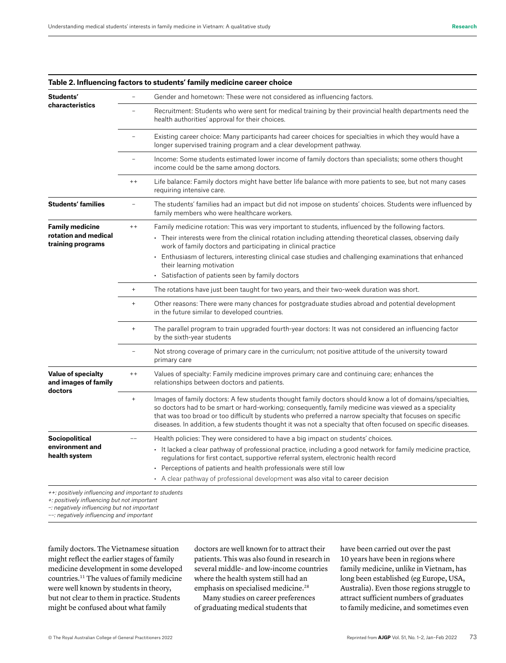| Students'<br>characteristics                                        |           | Gender and hometown: These were not considered as influencing factors.                                                                                                                                                                                                                                                                                                                                                                                                      |
|---------------------------------------------------------------------|-----------|-----------------------------------------------------------------------------------------------------------------------------------------------------------------------------------------------------------------------------------------------------------------------------------------------------------------------------------------------------------------------------------------------------------------------------------------------------------------------------|
|                                                                     |           | Recruitment: Students who were sent for medical training by their provincial health departments need the<br>health authorities' approval for their choices.                                                                                                                                                                                                                                                                                                                 |
|                                                                     |           | Existing career choice: Many participants had career choices for specialties in which they would have a<br>longer supervised training program and a clear development pathway.                                                                                                                                                                                                                                                                                              |
|                                                                     |           | Income: Some students estimated lower income of family doctors than specialists; some others thought<br>income could be the same among doctors.                                                                                                                                                                                                                                                                                                                             |
|                                                                     | $+ +$     | Life balance: Family doctors might have better life balance with more patients to see, but not many cases<br>requiring intensive care.                                                                                                                                                                                                                                                                                                                                      |
| <b>Students' families</b>                                           |           | The students' families had an impact but did not impose on students' choices. Students were influenced by<br>family members who were healthcare workers.                                                                                                                                                                                                                                                                                                                    |
| <b>Family medicine</b><br>rotation and medical<br>training programs | $+ +$     | Family medicine rotation: This was very important to students, influenced by the following factors.<br>Their interests were from the clinical rotation including attending theoretical classes, observing daily<br>work of family doctors and participating in clinical practice<br>• Enthusiasm of lecturers, interesting clinical case studies and challenging examinations that enhanced<br>their learning motivation<br>Satisfaction of patients seen by family doctors |
|                                                                     | $^{+}$    | The rotations have just been taught for two years, and their two-week duration was short.                                                                                                                                                                                                                                                                                                                                                                                   |
|                                                                     | $^{+}$    | Other reasons: There were many chances for postgraduate studies abroad and potential development<br>in the future similar to developed countries.                                                                                                                                                                                                                                                                                                                           |
|                                                                     | $^{+}$    | The parallel program to train upgraded fourth-year doctors: It was not considered an influencing factor<br>by the sixth-year students                                                                                                                                                                                                                                                                                                                                       |
|                                                                     |           | Not strong coverage of primary care in the curriculum; not positive attitude of the university toward<br>primary care                                                                                                                                                                                                                                                                                                                                                       |
| <b>Value of specialty</b><br>and images of family<br>doctors        | $+ +$     | Values of specialty: Family medicine improves primary care and continuing care; enhances the<br>relationships between doctors and patients.                                                                                                                                                                                                                                                                                                                                 |
|                                                                     | $\ddot{}$ | Images of family doctors: A few students thought family doctors should know a lot of domains/specialties,<br>so doctors had to be smart or hard-working; consequently, family medicine was viewed as a speciality<br>that was too broad or too difficult by students who preferred a narrow specialty that focuses on specific<br>diseases. In addition, a few students thought it was not a specialty that often focused on specific diseases.                             |
| <b>Sociopolitical</b><br>environment and<br>health system           |           | Health policies: They were considered to have a big impact on students' choices.<br>It lacked a clear pathway of professional practice, including a good network for family medicine practice,<br>regulations for first contact, supportive referral system, electronic health record<br>• Perceptions of patients and health professionals were still low<br>• A clear pathway of professional development was also vital to career decision                               |

#### **Table 2. Influencing factors to students' family medicine career choice**

*++: positively influencing and important to students*

*+: positively influencing but not important*

*–: negatively influencing but not important*

*––: negatively influencing and important*

family doctors. The Vietnamese situation might reflect the earlier stages of family medicine development in some developed countries.11 The values of family medicine were well known by students in theory, but not clear to them in practice. Students might be confused about what family

doctors are well known for to attract their patients. This was also found in research in several middle- and low-income countries where the health system still had an emphasis on specialised medicine.<sup>28</sup>

Many studies on career preferences of graduating medical students that

have been carried out over the past 10 years have been in regions where family medicine, unlike in Vietnam, has long been established (eg Europe, USA, Australia). Even those regions struggle to attract sufficient numbers of graduates to family medicine, and sometimes even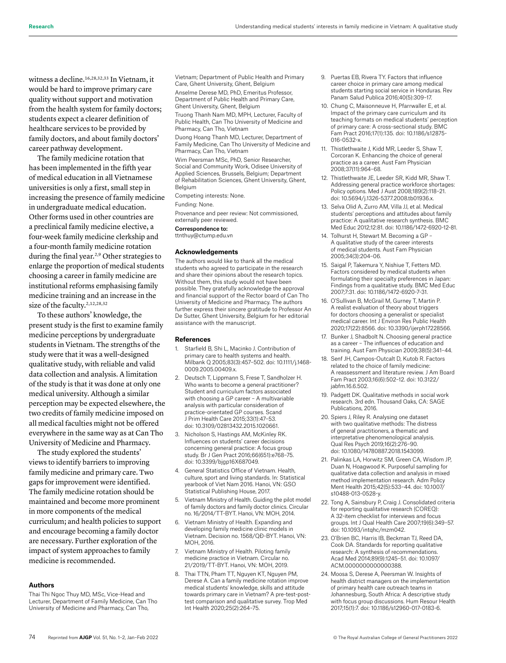witness a decline.16,28,32,33 In Vietnam, it would be hard to improve primary care quality without support and motivation from the health system for family doctors; students expect a clearer definition of healthcare services to be provided by family doctors, and about family doctors' career pathway development.

The family medicine rotation that has been implemented in the fifth year of medical education in all Vietnamese universities is only a first, small step in increasing the presence of family medicine in undergraduate medical education. Other forms used in other countries are a preclinical family medicine elective, a four-week family medicine clerkship and a four-month family medicine rotation during the final year.<sup>2,9</sup> Other strategies to enlarge the proportion of medical students choosing a career in family medicine are institutional reforms emphasising family medicine training and an increase in the size of the faculty.<sup>2,12,28,32</sup>

To these authors' knowledge, the present study is the first to examine family medicine perceptions by undergraduate students in Vietnam. The strengths of the study were that it was a well-designed qualitative study, with reliable and valid data collection and analysis. A limitation of the study is that it was done at only one medical university. Although a similar perception may be expected elsewhere, the two credits of family medicine imposed on all medical faculties might not be offered everywhere in the same way as at Can Tho University of Medicine and Pharmacy.

The study explored the students' views to identify barriers to improving family medicine and primary care. Two gaps for improvement were identified. The family medicine rotation should be maintained and become more prominent in more components of the medical curriculum; and health policies to support and encourage becoming a family doctor are necessary. Further exploration of the impact of system approaches to family medicine is recommended.

#### **Authors**

Thai Thi Ngoc Thuy MD, MSc, Vice-Head and Lecturer, Department of Family Medicine, Can Tho University of Medicine and Pharmacy, Can Tho,

Vietnam; Department of Public Health and Primary Care, Ghent University, Ghent, Belgium

Anselme Derese MD, PhD, Emeritus Professor, Department of Public Health and Primary Care, Ghent University, Ghent, Belgium

Truong Thanh Nam MD, MPH, Lecturer, Faculty of Public Health, Can Tho University of Medicine and Pharmacy, Can Tho, Vietnam

Duong Hoang Thanh MD, Lecturer, Department of Family Medicine, Can Tho University of Medicine and Pharmacy, Can Tho, Vietnam

Wim Peersman MSc, PhD, Senior Researcher Social and Community Work, Odisee University of Applied Sciences, Brussels, Belgium; Department of Rehabilitation Sciences, Ghent University, Ghent, Belgium

Competing interests: None.

#### Funding: None.

Provenance and peer review: Not commissioned, externally peer reviewed.

#### Correspondence to:

ttnthuy@ctump.edu.vn

#### **Acknowledgements**

The authors would like to thank all the medical students who agreed to participate in the research and share their opinions about the research topics. Without them, this study would not have been possible. They gratefully acknowledge the approval and financial support of the Rector board of Can Tho University of Medicine and Pharmacy. The authors further express their sincere gratitude to Professor An De Sutter, Ghent University, Belgium for her editorial assistance with the manuscript.

#### **References**

- 1. Starfield B, Shi L, Macinko J. Contribution of primary care to health systems and health. Milbank Q 2005;83(3):457–502. doi: 10.1111/j.1468- 0009.2005.00409.x.
- 2. Deutsch T, Lippmann S, Frese T, Sandholzer H. Who wants to become a general practitioner? Student and curriculum factors associated with choosing a GP career – A multivariable analysis with particular consideration of practice-orientated GP courses. Scand J Prim Health Care 2015;33(1):47–53. doi: 10.3109/02813432.2015.1020661.
- 3. Nicholson S, Hastings AM, McKinley RK. Influences on students' career decisions concerning general practice: A focus group study. Br J Gen Pract 2016;66(651):e768–75. doi: 10.3399/bjgp16X687049.
- 4. General Statistics Office of Vietnam. Health, culture, sport and living standards. In: Statistical yearbook of Viet Nam 2016. Hanoi, VN: GSO Statistical Publishing House, 2017.
- 5. Vietnam Ministry of Health. Guiding the pilot model of family doctors and family doctor clinics. Circular no. 16/2014/TT-BYT. Hanoi, VN: MOH, 2014.
- 6. Vietnam Ministry of Health. Expanding and developing family medicine clinic models in Vietnam. Decision no. 1568/QĐ-BYT. Hanoi, VN: MOH, 2016.
- 7. Vietnam Ministry of Health. Piloting family medicine practice in Vietnam. Circular no. 21/2019/TT-BYT. Hanoi, VN: MOH, 2019.
- 8. Thai TTN, Pham TT, Nguyen KT, Nguyen PM, Derese A. Can a family medicine rotation improve medical students' knowledge, skills and attitude towards primary care in Vietnam? A pre-test-posttest comparison and qualitative survey. Trop Med Int Health 2020;25(2):264–75.
- 9. Puertas EB, Rivera TY. Factors that influence career choice in primary care among medical students starting social service in Honduras. Rev Panam Salud Publica 2016;40(5):309–17.
- 10. Chung C, Maisonneuve H, Pfarrwaller E, et al. Impact of the primary care curriculum and its teaching formats on medical students' perception of primary care: A cross-sectional study. BMC Fam Pract 2016;17(1):135. doi: 10.1186/s12875- 016-0532-x.
- 11. Thistlethwaite J, Kidd MR, Leeder S, Shaw T, Corcoran K. Enhancing the choice of general practice as a career. Aust Fam Physician 2008;37(11):964–68.
- 12. Thistlethwaite JE, Leeder SR, Kidd MR, Shaw T. Addressing general practice workforce shortages: Policy options. Med J Aust 2008;189(2):118–21. doi: 10.5694/j.1326-5377.2008.tb01936.x.
- 13. Selva Olid A, Zurro AM, Villa JJ, et al. Medical students' perceptions and attitudes about family practice: A qualitative research synthesis. BMC Med Educ 2012;12:81. doi: 10.1186/1472-6920-12-81.
- 14. Tolhurst H, Stewart M. Becoming a GP A qualitative study of the career interests of medical students. Aust Fam Physician 2005;34(3):204–06.
- 15. Saigal P, Takemura Y, Nishiue T, Fetters MD. Factors considered by medical students when formulating their specialty preferences in Japan: Findings from a qualitative study. BMC Med Educ 2007;7:31. doi: 10.1186/1472-6920-7-31.
- 16. O'Sullivan B, McGrail M, Gurney T, Martin P. A realist evaluation of theory about triggers for doctors choosing a generalist or specialist medical career. Int J Environ Res Public Health 2020;17(22):8566. doi: 10.3390/ijerph17228566.
- 17. Bunker J, Shadbolt N. Choosing general practice as a career – The influences of education and training. Aust Fam Physician 2009;38(5):341–44.
- 18. Senf JH, Campos-Outcalt D, Kutob R. Factors related to the choice of family medicine: A reassessment and literature review. J Am Board Fam Pract 2003;16(6):502–12. doi: 10.3122/ jabfm.16.6.502.
- 19. Padgett DK. Qualitative methods in social work research. 3rd edn. Thousand Oaks, CA: SAGE Publications, 2016.
- 20. Spiers J, Riley R. Analysing one dataset with two qualitative methods: The distress of general practitioners, a thematic and interpretative phenomenological analysis. Qual Res Psych 2019;16(2):276–90. doi: 10.1080/14780887.2018.1543099.
- 21. Palinkas LA, Horwitz SM, Green CA, Wisdom JP, Duan N, Hoagwood K. Purposeful sampling for qualitative data collection and analysis in mixed method implementation research. Adm Policy Ment Health 2015;42(5):533–44. doi: 10.1007/ s10488-013-0528-y.
- 22. Tong A, Sainsbury P, Craig J. Consolidated criteria for reporting qualitative research (COREQ): A 32-item checklist for interviews and focus groups. Int J Qual Health Care 2007;19(6):349–57. doi: 10.1093/intqhc/mzm042.
- 23. O'Brien BC, Harris IB, Beckman TJ, Reed DA, Cook DA. Standards for reporting qualitative research: A synthesis of recommendations. Acad Med 2014;89(9):1245–51. doi: 10.1097/ ACM.0000000000000388.
- 24. Moosa S, Derese A, Peersman W. Insights of health district managers on the implementation of primary health care outreach teams in Johannesburg, South Africa: A descriptive study with focus group discussions. Hum Resour Health 2017;15(1):7. doi: 10.1186/s12960-017-0183-6.